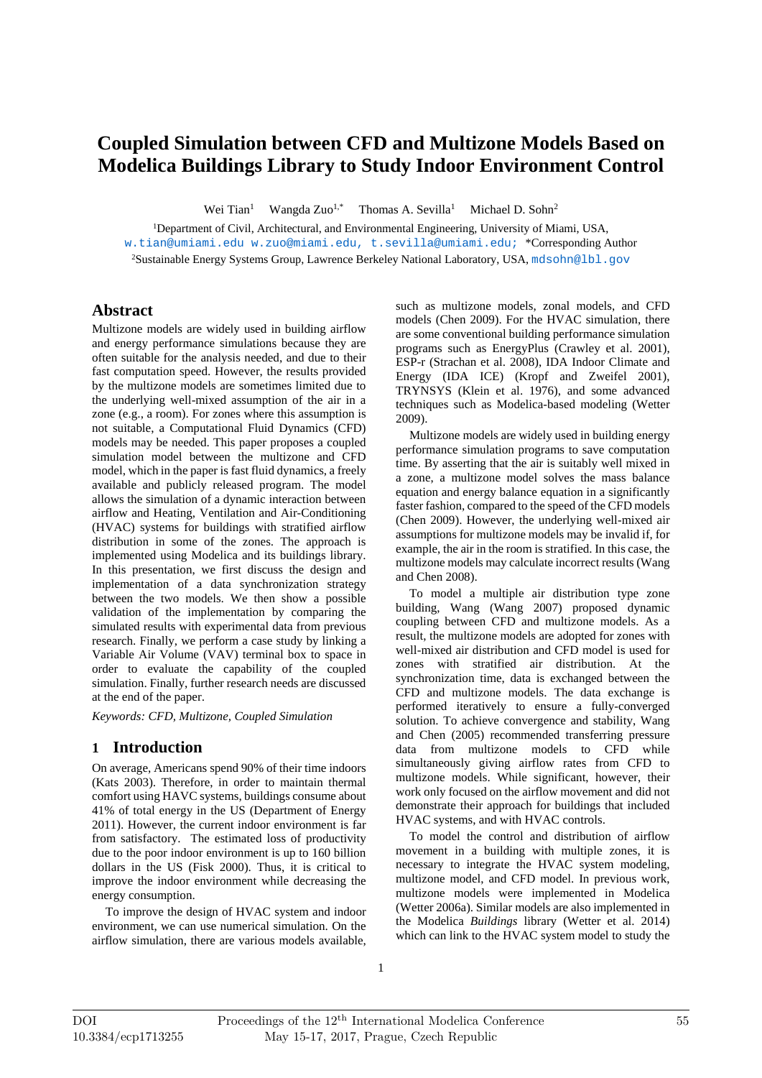# **Coupled Simulation between CFD and Multizone Models Based on Modelica Buildings Library to Study Indoor Environment Control**

Wei Tian 1 Wangda  $Zuo^{1,*}$  Thomas A. Sevilla<sup>1</sup> Michael D. Sohn 2

1 Department of Civil, Architectural, and Environmental Engineering, University of Miami, USA, w.tian@umiami.edu w.zuo@miami.edu, t.sevilla@umiami.edu; \*Corresponding Author <sup>2</sup>Sustainable Energy Systems Group, Lawrence Berkeley National Laboratory, USA, mdsohn@lbl . gov

## **Abstract**

Multizone models are widely used in building airflow and energy performance simulations because they are often suitable for the analysis needed, and due to their fast computation speed. However, the results provided by the multizone models are sometimes limited due to the underlying well-mixed assumption of the air in a zone (e.g., a room). For zones where this assumption is not suitable, a Computational Fluid Dynamics (CFD) models may be needed. This paper proposes a coupled simulation model between the multizone and CFD model, which in the paper is fast fluid dynamics, a freely available and publicly released program. The model allows the simulation of a dynamic interaction between airflow and Heating, Ventilation and Air-Conditioning (HVAC) systems for buildings with stratified airflow distribution in some of the zones. The approach is implemented using Modelica and its buildings library. In this presentation, we first discuss the design and implementation of a data synchronization strategy between the two models. We then show a possible validation of the implementation by comparing the simulated results with experimental data from previous research. Finally, we perform a case study by linking a Variable Air Volume (VAV) terminal box to space in order to evaluate the capability of the coupled simulation. Finally, further research needs are discussed at the end of the paper.

*Keywords: CFD, Multizone, Coupled Simulation* 

## **1 Introduction**

On average, Americans spend 90% of their time indoors (Kats 2003). Therefore, in order to maintain thermal comfort using HAVC systems, buildings consume about 41% of total energy in the US (Department of Energy 2011). However, the current indoor environment is far from satisfactory. The estimated loss of productivity due to the poor indoor environment is up to 160 billion dollars in the US (Fisk 2000). Thus, it is critical to improve the indoor environment while decreasing the energy consumption.

To improve the design of HVAC system and indoor environment, we can use numerical simulation. On the airflow simulation, there are various models available,

such as multizone models, zonal models, and CFD models (Chen 2009). For the HVAC simulation, there are some conventional building performance simulation programs such as EnergyPlus (Crawley et al. 2001), ESP-r (Strachan et al. 2008), IDA Indoor Climate and Energy (IDA ICE) (Kropf and Zweifel 2001), TRYNSYS (Klein et al. 1976), and some advanced techniques such as Modelica-based modeling (Wetter 2009).

Multizone models are widely used in building energy performance simulation programs to save computation time. By asserting that the air is suitably well mixed in a zone, a multizone model solves the mass balance equation and energy balance equation in a significantly faster fashion, compared to the speed of the CFD models (Chen 2009). However, the underlying well-mixed air assumptions for multizone models may be invalid if, for example, the air in the room is stratified. In this case, the multizone models may calculate incorrect results (Wang and Chen 2008).

To model a multiple air distribution type zone building, Wang (Wang 2007) proposed dynamic coupling between CFD and multizone models. As a result, the multizone models are adopted for zones with well-mixed air distribution and CFD model is used for zones with stratified air distribution. At the synchronization time, data is exchanged between the CFD and multizone models. The data exchange is performed iteratively to ensure a fully-converged solution. To achieve convergence and stability, Wang and Chen (2005) recommended transferring pressure data from multizone models to CFD while simultaneously giving airflow rates from CFD to multizone models. While significant, however, their work only focused on the airflow movement and did not demonstrate their approach for buildings that included HVAC systems, and with HVAC controls.

To model the control and distribution of airflow movement in a building with multiple zones, it is necessary to integrate the HVAC system modeling, multizone model, and CFD model. In previous work, multizone models were implemented in Modelica (Wetter 2006a). Similar models are also implemented in the Modelica *Buildings* library (Wetter et al. 2014) which can link to the HVAC system model to study the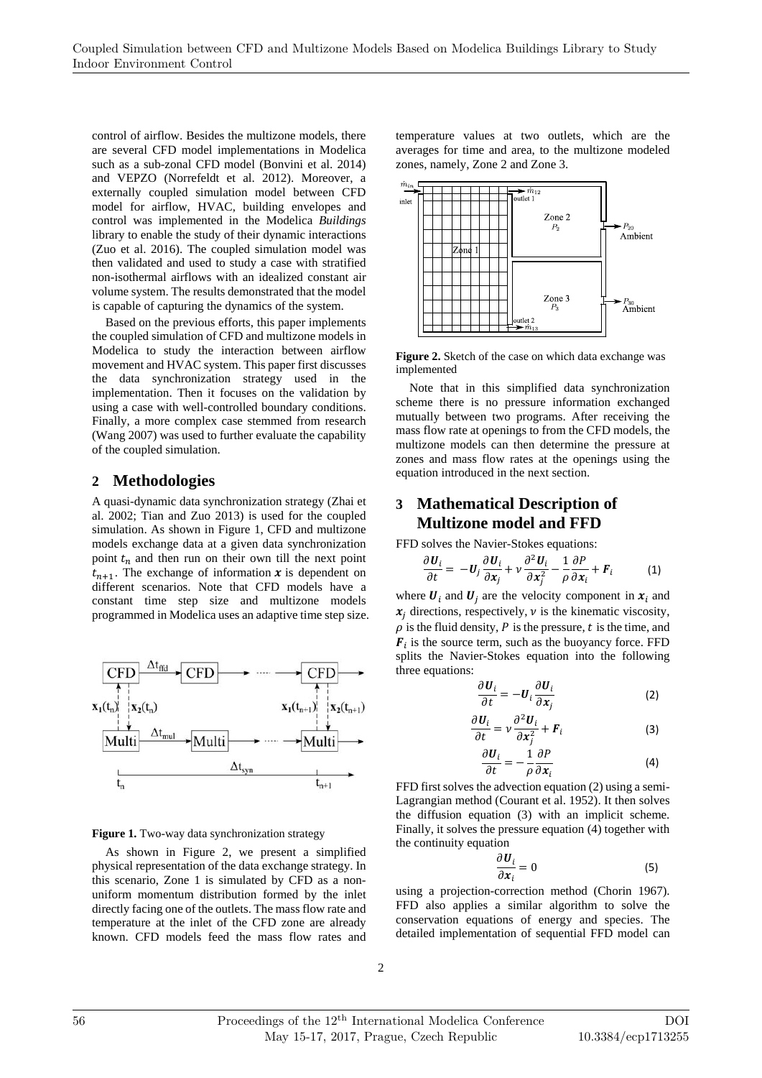control of airflow. Besides the multizone models, there are several CFD model implementations in Modelica such as a sub-zonal CFD model (Bonvini et al. 2014) and VEPZO (Norrefeldt et al. 2012). Moreover, a externally coupled simulation model between CFD model for airflow, HVAC, building envelopes and control was implemented in the Modelica *Buildings* library to enable the study of their dynamic interactions (Zuo et al. 2016). The coupled simulation model was then validated and used to study a case with stratified non-isothermal airflows with an idealized constant air volume system. The results demonstrated that the model is capable of capturing the dynamics of the system.

Based on the previous efforts, this paper implements the coupled simulation of CFD and multizone models in Modelica to study the interaction between airflow movement and HVAC system. This paper first discusses the data synchronization strategy used in the implementation. Then it focuses on the validation by using a case with well-controlled boundary conditions. Finally, a more complex case stemmed from research (Wang 2007) was used to further evaluate the capability of the coupled simulation.

# **2 Methodologies**

A quasi-dynamic data synchronization strategy (Zhai et al. 2002; Tian and Zuo 2013) is used for the coupled simulation. As shown in Figure 1, CFD and multizone models exchange data at a given data synchronization point  $t_n$  and then run on their own till the next point  $t_{n+1}$ . The exchange of information  $\boldsymbol{x}$  is dependent on different scenarios. Note that CFD models have a constant time step size and multizone models programmed in Modelica uses an adaptive time step size.



#### **Figure 1.** Two-way data synchronization strategy

As shown in Figure 2, we present a simplified physical representation of the data exchange strategy. In this scenario, Zone 1 is simulated by CFD as a nonuniform momentum distribution formed by the inlet directly facing one of the outlets. The mass flow rate and temperature at the inlet of the CFD zone are already known. CFD models feed the mass flow rates and

temperature values at two outlets, which are the averages for time and area, to the multizone modeled zones, namely, Zone 2 and Zone 3.



**Figure 2.** Sketch of the case on which data exchange was implemented

Note that in this simplified data synchronization scheme there is no pressure information exchanged mutually between two programs. After receiving the mass flow rate at openings to from the CFD models, the multizone models can then determine the pressure at zones and mass flow rates at the openings using the equation introduced in the next section.

## **3 Mathematical Description of Multizone model and FFD**

FFD solves the Navier-Stokes equations:

$$
\frac{\partial \boldsymbol{U}_i}{\partial t} = -\boldsymbol{U}_j \frac{\partial \boldsymbol{U}_i}{\partial x_j} + \nu \frac{\partial^2 \boldsymbol{U}_i}{\partial x_j^2} - \frac{1}{\rho} \frac{\partial P}{\partial x_i} + \boldsymbol{F}_i \tag{1}
$$

where  $U_i$  and  $U_i$  are the velocity component in  $x_i$  and  $x_i$  directions, respectively,  $\nu$  is the kinematic viscosity,  $\rho$  is the fluid density, P is the pressure, t is the time, and  $F_i$  is the source term, such as the buoyancy force. FFD splits the Navier-Stokes equation into the following three equations:

$$
\frac{\partial \boldsymbol{U}_i}{\partial t} = -\boldsymbol{U}_i \frac{\partial \boldsymbol{U}_i}{\partial x_j} \tag{2}
$$

$$
\frac{\partial \boldsymbol{U}_i}{\partial t} = \nu \frac{\partial^2 \boldsymbol{U}_i}{\partial \boldsymbol{x}_j^2} + \boldsymbol{F}_i
$$
 (3)

$$
\frac{\partial \boldsymbol{U}_i}{\partial t} = -\frac{1}{\rho} \frac{\partial P}{\partial \boldsymbol{x}_i} \tag{4}
$$

FFD first solves the advection equation (2) using a semi-Lagrangian method (Courant et al. 1952). It then solves the diffusion equation (3) with an implicit scheme. Finally, it solves the pressure equation (4) together with the continuity equation

$$
\frac{\partial \boldsymbol{U}_i}{\partial \boldsymbol{x}_i} = 0 \tag{5}
$$

using a projection-correction method (Chorin 1967). FFD also applies a similar algorithm to solve the conservation equations of energy and species. The detailed implementation of sequential FFD model can

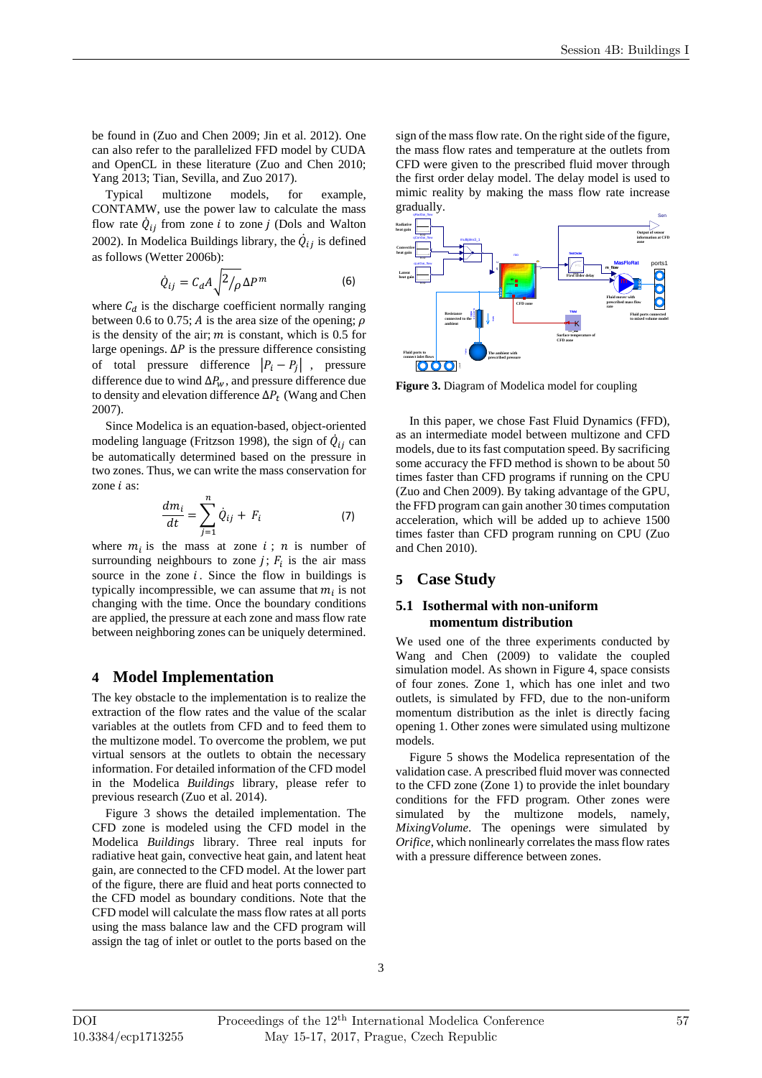be found in (Zuo and Chen 2009; Jin et al. 2012). One can also refer to the parallelized FFD model by CUDA and OpenCL in these literature (Zuo and Chen 2010; Yang 2013; Tian, Sevilla, and Zuo 2017).

Typical multizone models, for example, CONTAMW, use the power law to calculate the mass flow rate  $\dot{Q}_{ij}$  from zone *i* to zone *j* (Dols and Walton 2002). In Modelica Buildings library, the  $\dot{Q}_{ij}$  is defined as follows (Wetter 2006b):

$$
\dot{Q}_{ij} = C_d A \sqrt{\frac{2}{\rho}} \Delta P^m \tag{6}
$$

where  $C_d$  is the discharge coefficient normally ranging between 0.6 to 0.75; A is the area size of the opening;  $\rho$ is the density of the air;  $m$  is constant, which is 0.5 for large openings.  $\Delta P$  is the pressure difference consisting of total pressure difference  $|P_i - P_i|$ , pressure difference due to wind  $\Delta P_w$ , and pressure difference due to density and elevation difference  $\Delta P_t$  (Wang and Chen 2007).

Since Modelica is an equation-based, object-oriented modeling language (Fritzson 1998), the sign of  $\dot{Q}_{ij}$  can be automatically determined based on the pressure in two zones. Thus, we can write the mass conservation for zone  $i$  as:

$$
\frac{dm_i}{dt} = \sum_{j=1}^{n} \dot{Q}_{ij} + F_i \tag{7}
$$

where  $m_i$  is the mass at zone  $i$ ;  $n$  is number of surrounding neighbours to zone  $j$ ;  $F_i$  is the air mass source in the zone  $i$ . Since the flow in buildings is typically incompressible, we can assume that  $m_i$  is not changing with the time. Once the boundary conditions are applied, the pressure at each zone and mass flow rate between neighboring zones can be uniquely determined.

#### **4 Model Implementation**

The key obstacle to the implementation is to realize the extraction of the flow rates and the value of the scalar variables at the outlets from CFD and to feed them to the multizone model. To overcome the problem, we put virtual sensors at the outlets to obtain the necessary information. For detailed information of the CFD model in the Modelica *Buildings* library, please refer to previous research (Zuo et al. 2014).

Figure 3 shows the detailed implementation. The CFD zone is modeled using the CFD model in the Modelica *Buildings* library. Three real inputs for radiative heat gain, convective heat gain, and latent heat gain, are connected to the CFD model. At the lower part of the figure, there are fluid and heat ports connected to the CFD model as boundary conditions. Note that the CFD model will calculate the mass flow rates at all ports using the mass balance law and the CFD program will assign the tag of inlet or outlet to the ports based on the

sign of the mass flow rate. On the right side of the figure, the mass flow rates and temperature at the outlets from CFD were given to the prescribed fluid mover through the first order delay model. The delay model is used to mimic reality by making the mass flow rate increase gradually.



**Figure 3.** Diagram of Modelica model for coupling

In this paper, we chose Fast Fluid Dynamics (FFD), as an intermediate model between multizone and CFD models, due to its fast computation speed. By sacrificing some accuracy the FFD method is shown to be about 50 times faster than CFD programs if running on the CPU (Zuo and Chen 2009). By taking advantage of the GPU, the FFD program can gain another 30 times computation acceleration, which will be added up to achieve 1500 times faster than CFD program running on CPU (Zuo and Chen 2010).

#### **5 Case Study**

#### **5.1 Isothermal with non-uniform momentum distribution**

We used one of the three experiments conducted by Wang and Chen (2009) to validate the coupled simulation model. As shown in Figure 4, space consists of four zones. Zone 1, which has one inlet and two outlets, is simulated by FFD, due to the non-uniform momentum distribution as the inlet is directly facing opening 1. Other zones were simulated using multizone models.

Figure 5 shows the Modelica representation of the validation case. A prescribed fluid mover was connected to the CFD zone (Zone 1) to provide the inlet boundary conditions for the FFD program. Other zones were simulated by the multizone models, namely, *MixingVolume*. The openings were simulated by *Orifice*, which nonlinearly correlates the mass flow rates with a pressure difference between zones.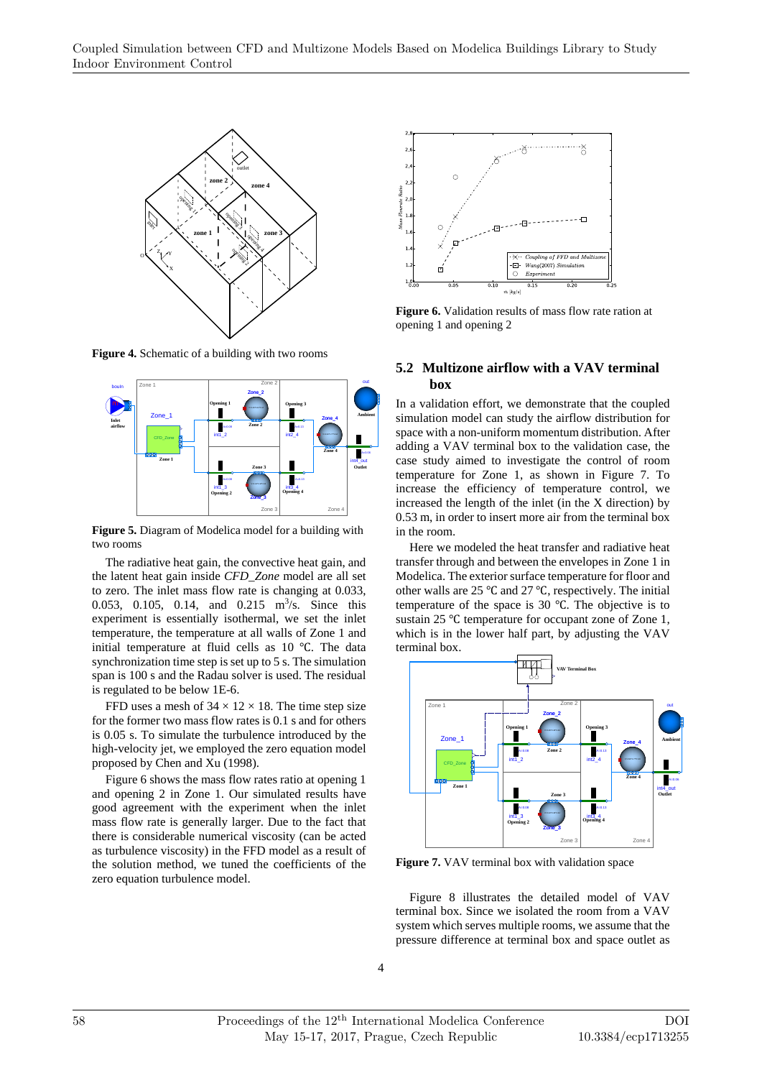

**Figure 4.** Schematic of a building with two rooms



**Figure 5.** Diagram of Modelica model for a building with two rooms

The radiative heat gain, the convective heat gain, and the latent heat gain inside *CFD\_Zone* model are all set to zero. The inlet mass flow rate is changing at 0.033, 0.053, 0.105, 0.14, and 0.215 m<sup>3</sup>/s. Since this experiment is essentially isothermal, we set the inlet temperature, the temperature at all walls of Zone 1 and initial temperature at fluid cells as  $10^{\circ}$ C. The data synchronization time step is set up to 5 s. The simulation span is 100 s and the Radau solver is used. The residual is regulated to be below 1E-6.

FFD uses a mesh of  $34 \times 12 \times 18$ . The time step size for the former two mass flow rates is 0.1 s and for others is 0.05 s. To simulate the turbulence introduced by the high-velocity jet, we employed the zero equation model proposed by Chen and Xu (1998).

Figure 6 shows the mass flow rates ratio at opening 1 and opening 2 in Zone 1. Our simulated results have good agreement with the experiment when the inlet mass flow rate is generally larger. Due to the fact that there is considerable numerical viscosity (can be acted as turbulence viscosity) in the FFD model as a result of the solution method, we tuned the coefficients of the zero equation turbulence model.



**Figure 6.** Validation results of mass flow rate ration at opening 1 and opening 2

#### **5.2 Multizone airflow with a VAV terminal box**

In a validation effort, we demonstrate that the coupled simulation model can study the airflow distribution for space with a non-uniform momentum distribution. After adding a VAV terminal box to the validation case, the case study aimed to investigate the control of room temperature for Zone 1, as shown in Figure 7. To increase the efficiency of temperature control, we increased the length of the inlet (in the X direction) by 0.53 m, in order to insert more air from the terminal box in the room.

Here we modeled the heat transfer and radiative heat transfer through and between the envelopes in Zone 1 in Modelica. The exterior surface temperature for floor and other walls are 25 °C and 27 °C, respectively. The initial temperature of the space is 30  $\degree$ C. The objective is to sustain 25 °C temperature for occupant zone of Zone 1, which is in the lower half part, by adjusting the VAV terminal box.



**Figure 7.** VAV terminal box with validation space

Figure 8 illustrates the detailed model of VAV terminal box. Since we isolated the room from a VAV system which serves multiple rooms, we assume that the pressure difference at terminal box and space outlet as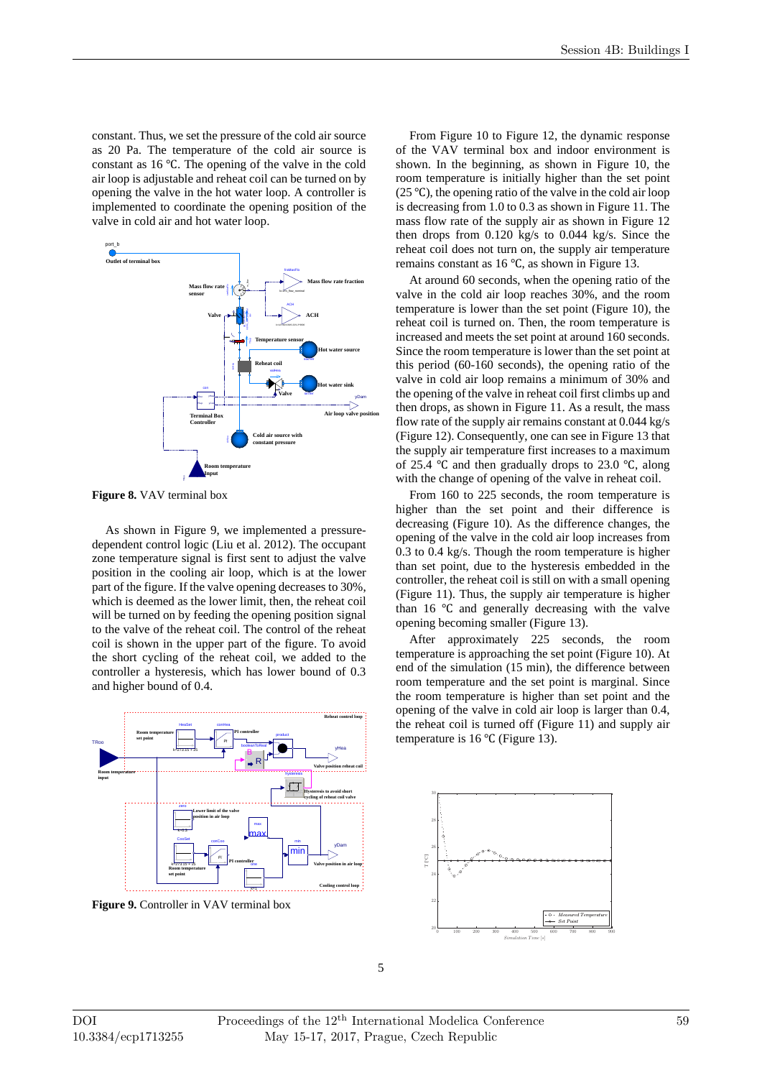constant. Thus, we set the pressure of the cold air source as 20 Pa. The temperature of the cold air source is constant as  $16^{\circ}$ C. The opening of the valve in the cold air loop is adjustable and reheat coil can be turned on by opening the valve in the hot water loop. A controller is implemented to coordinate the opening position of the valve in cold air and hot water loop.



**Figure 8.** VAV terminal box

As shown in Figure 9, we implemented a pressuredependent control logic (Liu et al. 2012). The occupant zone temperature signal is first sent to adjust the valve position in the cooling air loop, which is at the lower part of the figure. If the valve opening decreases to 30%, which is deemed as the lower limit, then, the reheat coil will be turned on by feeding the opening position signal to the valve of the reheat coil. The control of the reheat coil is shown in the upper part of the figure. To avoid the short cycling of the reheat coil, we added to the controller a hysteresis, which has lower bound of 0.3 and higher bound of 0.4.



**Figure 9.** Controller in VAV terminal box

From Figure 10 to Figure 12, the dynamic response of the VAV terminal box and indoor environment is shown. In the beginning, as shown in Figure 10, the room temperature is initially higher than the set point (25  $\degree$ C), the opening ratio of the valve in the cold air loop is decreasing from 1.0 to 0.3 as shown in Figure 11. The mass flow rate of the supply air as shown in Figure 12 then drops from 0.120 kg/s to 0.044 kg/s. Since the reheat coil does not turn on, the supply air temperature remains constant as  $16^{\circ}$ C, as shown in Figure 13.

At around 60 seconds, when the opening ratio of the valve in the cold air loop reaches 30%, and the room temperature is lower than the set point (Figure 10), the reheat coil is turned on. Then, the room temperature is increased and meets the set point at around 160 seconds. Since the room temperature is lower than the set point at this period (60-160 seconds), the opening ratio of the valve in cold air loop remains a minimum of 30% and the opening of the valve in reheat coil first climbs up and then drops, as shown in Figure 11. As a result, the mass flow rate of the supply air remains constant at 0.044 kg/s (Figure 12). Consequently, one can see in Figure 13 that the supply air temperature first increases to a maximum of 25.4  $\degree$ C and then gradually drops to 23.0  $\degree$ C, along with the change of opening of the valve in reheat coil.

From 160 to 225 seconds, the room temperature is higher than the set point and their difference is decreasing (Figure 10). As the difference changes, the opening of the valve in the cold air loop increases from 0.3 to 0.4 kg/s. Though the room temperature is higher than set point, due to the hysteresis embedded in the controller, the reheat coil is still on with a small opening (Figure 11). Thus, the supply air temperature is higher than  $16 \degree C$  and generally decreasing with the valve opening becoming smaller (Figure 13).

After approximately 225 seconds, the room temperature is approaching the set point (Figure 10). At end of the simulation (15 min), the difference between room temperature and the set point is marginal. Since the room temperature is higher than set point and the opening of the valve in cold air loop is larger than 0.4, the reheat coil is turned off (Figure 11) and supply air temperature is  $16^{\circ}$ C (Figure 13).

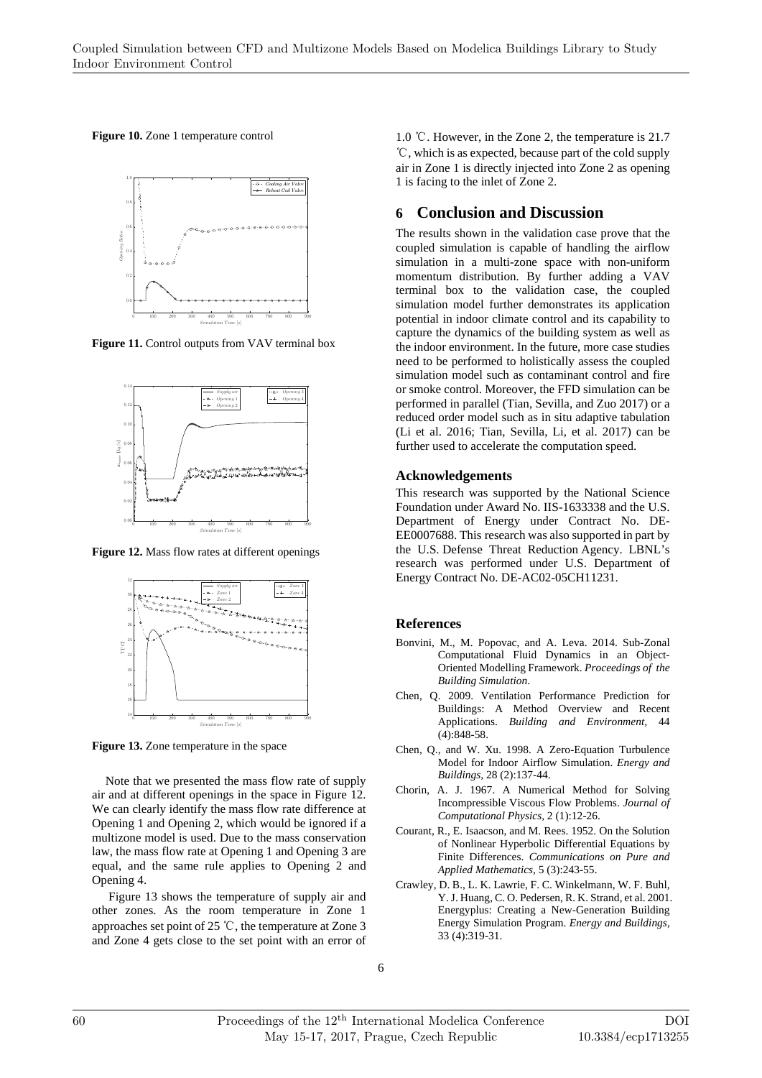**Figure 10.** Zone 1 temperature control



Figure 11. Control outputs from VAV terminal box



**Figure 12.** Mass flow rates at different openings



**Figure 13.** Zone temperature in the space

Note that we presented the mass flow rate of supply air and at different openings in the space in Figure 12. We can clearly identify the mass flow rate difference at Opening 1 and Opening 2, which would be ignored if a multizone model is used. Due to the mass conservation law, the mass flow rate at Opening 1 and Opening 3 are equal, and the same rule applies to Opening 2 and Opening 4.

 Figure 13 shows the temperature of supply air and other zones. As the room temperature in Zone 1 approaches set point of 25 ℃, the temperature at Zone 3 and Zone 4 gets close to the set point with an error of 1.0 ℃. However, in the Zone 2, the temperature is 21.7 ℃, which is as expected, because part of the cold supply air in Zone 1 is directly injected into Zone 2 as opening 1 is facing to the inlet of Zone 2.

# **6 Conclusion and Discussion**

The results shown in the validation case prove that the coupled simulation is capable of handling the airflow simulation in a multi-zone space with non-uniform momentum distribution. By further adding a VAV terminal box to the validation case, the coupled simulation model further demonstrates its application potential in indoor climate control and its capability to capture the dynamics of the building system as well as the indoor environment. In the future, more case studies need to be performed to holistically assess the coupled simulation model such as contaminant control and fire or smoke control. Moreover, the FFD simulation can be performed in parallel (Tian, Sevilla, and Zuo 2017) or a reduced order model such as in situ adaptive tabulation (Li et al. 2016; Tian, Sevilla, Li, et al. 2017) can be further used to accelerate the computation speed.

#### **Acknowledgements**

This research was supported by the National Science Foundation under Award No. IIS-1633338 and the U.S. Department of Energy under Contract No. DE-EE0007688. This research was also supported in part by the U.S. Defense Threat Reduction Agency. LBNL's research was performed under U.S. Department of Energy Contract No. DE-AC02-05CH11231.

#### **References**

- Bonvini, M., M. Popovac, and A. Leva. 2014. Sub-Zonal Computational Fluid Dynamics in an Object-Oriented Modelling Framework. *Proceedings of the Building Simulation*.
- Chen, Q. 2009. Ventilation Performance Prediction for Buildings: A Method Overview and Recent Applications. *Building and Environment,* 44 (4):848-58.
- Chen, Q., and W. Xu. 1998. A Zero-Equation Turbulence Model for Indoor Airflow Simulation. *Energy and Buildings,* 28 (2):137-44.
- Chorin, A. J. 1967. A Numerical Method for Solving Incompressible Viscous Flow Problems. *Journal of Computational Physics,* 2 (1):12-26.
- Courant, R., E. Isaacson, and M. Rees. 1952. On the Solution of Nonlinear Hyperbolic Differential Equations by Finite Differences. *Communications on Pure and Applied Mathematics,* 5 (3):243-55.
- Crawley, D. B., L. K. Lawrie, F. C. Winkelmann, W. F. Buhl, Y. J. Huang, C. O. Pedersen, R. K. Strand, et al. 2001. Energyplus: Creating a New-Generation Building Energy Simulation Program. *Energy and Buildings,* 33 (4):319-31.